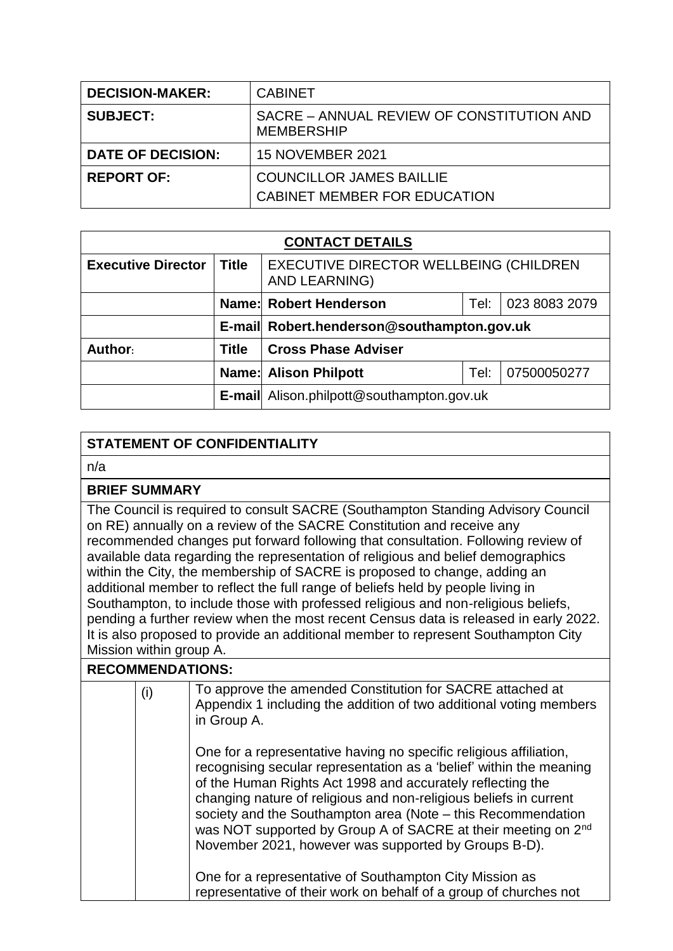| <b>DECISION-MAKER:</b>   | <b>CABINET</b>                                                 |  |
|--------------------------|----------------------------------------------------------------|--|
| <b>SUBJECT:</b>          | SACRE – ANNUAL REVIEW OF CONSTITUTION AND<br><b>MEMBERSHIP</b> |  |
| <b>DATE OF DECISION:</b> | <b>15 NOVEMBER 2021</b>                                        |  |
| <b>REPORT OF:</b>        | <b>COUNCILLOR JAMES BAILLIE</b>                                |  |
|                          | CABINET MEMBER FOR EDUCATION                                   |  |

| <b>CONTACT DETAILS</b>    |              |                                                         |      |             |  |
|---------------------------|--------------|---------------------------------------------------------|------|-------------|--|
| <b>Executive Director</b> | <b>Title</b> | EXECUTIVE DIRECTOR WELLBEING (CHILDREN<br>AND LEARNING) |      |             |  |
|                           |              | Name: Robert Henderson<br>023 8083 2079<br>Tel:         |      |             |  |
|                           |              | E-mail Robert.henderson@southampton.gov.uk              |      |             |  |
| Author:                   | Title        | <b>Cross Phase Adviser</b>                              |      |             |  |
|                           |              | <b>Name: Alison Philpott</b>                            | Tel: | 07500050277 |  |
|                           |              | E-mail Alison.philpott@southampton.gov.uk               |      |             |  |

# **STATEMENT OF CONFIDENTIALITY**

n/a

#### **BRIEF SUMMARY**

The Council is required to consult SACRE (Southampton Standing Advisory Council on RE) annually on a review of the SACRE Constitution and receive any recommended changes put forward following that consultation. Following review of available data regarding the representation of religious and belief demographics within the City, the membership of SACRE is proposed to change, adding an additional member to reflect the full range of beliefs held by people living in Southampton, to include those with professed religious and non-religious beliefs, pending a further review when the most recent Census data is released in early 2022. It is also proposed to provide an additional member to represent Southampton City Mission within group A.

## **RECOMMENDATIONS:**

| (i) | To approve the amended Constitution for SACRE attached at<br>Appendix 1 including the addition of two additional voting members<br>in Group A.                                                                                                                                                                                                                                                                                                                                    |
|-----|-----------------------------------------------------------------------------------------------------------------------------------------------------------------------------------------------------------------------------------------------------------------------------------------------------------------------------------------------------------------------------------------------------------------------------------------------------------------------------------|
|     | One for a representative having no specific religious affiliation,<br>recognising secular representation as a 'belief' within the meaning<br>of the Human Rights Act 1998 and accurately reflecting the<br>changing nature of religious and non-religious beliefs in current<br>society and the Southampton area (Note – this Recommendation<br>was NOT supported by Group A of SACRE at their meeting on 2 <sup>nd</sup><br>November 2021, however was supported by Groups B-D). |
|     | One for a representative of Southampton City Mission as<br>representative of their work on behalf of a group of churches not                                                                                                                                                                                                                                                                                                                                                      |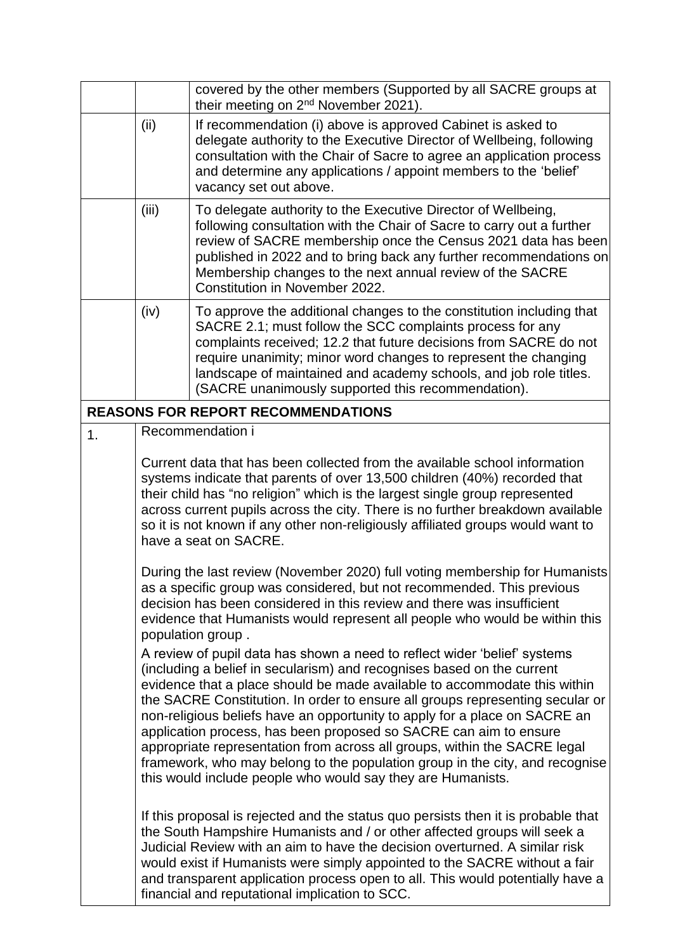|    | covered by the other members (Supported by all SACRE groups at<br>their meeting on 2 <sup>nd</sup> November 2021).                                                                                                                                                                                                                                                                                                                                                                                                                                                                                                                                                                                                                                                                                                                                                                                                                                                                                                                      |                                                                                                                                                                                                                                                                                                                                                                                                      |  |  |
|----|-----------------------------------------------------------------------------------------------------------------------------------------------------------------------------------------------------------------------------------------------------------------------------------------------------------------------------------------------------------------------------------------------------------------------------------------------------------------------------------------------------------------------------------------------------------------------------------------------------------------------------------------------------------------------------------------------------------------------------------------------------------------------------------------------------------------------------------------------------------------------------------------------------------------------------------------------------------------------------------------------------------------------------------------|------------------------------------------------------------------------------------------------------------------------------------------------------------------------------------------------------------------------------------------------------------------------------------------------------------------------------------------------------------------------------------------------------|--|--|
|    | (ii)                                                                                                                                                                                                                                                                                                                                                                                                                                                                                                                                                                                                                                                                                                                                                                                                                                                                                                                                                                                                                                    | If recommendation (i) above is approved Cabinet is asked to<br>delegate authority to the Executive Director of Wellbeing, following<br>consultation with the Chair of Sacre to agree an application process<br>and determine any applications / appoint members to the 'belief'<br>vacancy set out above.                                                                                            |  |  |
|    | (iii)                                                                                                                                                                                                                                                                                                                                                                                                                                                                                                                                                                                                                                                                                                                                                                                                                                                                                                                                                                                                                                   | To delegate authority to the Executive Director of Wellbeing,<br>following consultation with the Chair of Sacre to carry out a further<br>review of SACRE membership once the Census 2021 data has been<br>published in 2022 and to bring back any further recommendations on<br>Membership changes to the next annual review of the SACRE<br>Constitution in November 2022.                         |  |  |
|    | (iv)                                                                                                                                                                                                                                                                                                                                                                                                                                                                                                                                                                                                                                                                                                                                                                                                                                                                                                                                                                                                                                    | To approve the additional changes to the constitution including that<br>SACRE 2.1; must follow the SCC complaints process for any<br>complaints received; 12.2 that future decisions from SACRE do not<br>require unanimity; minor word changes to represent the changing<br>landscape of maintained and academy schools, and job role titles.<br>(SACRE unanimously supported this recommendation). |  |  |
|    |                                                                                                                                                                                                                                                                                                                                                                                                                                                                                                                                                                                                                                                                                                                                                                                                                                                                                                                                                                                                                                         | <b>REASONS FOR REPORT RECOMMENDATIONS</b>                                                                                                                                                                                                                                                                                                                                                            |  |  |
| 1. |                                                                                                                                                                                                                                                                                                                                                                                                                                                                                                                                                                                                                                                                                                                                                                                                                                                                                                                                                                                                                                         | Recommendation i                                                                                                                                                                                                                                                                                                                                                                                     |  |  |
|    | Current data that has been collected from the available school information<br>systems indicate that parents of over 13,500 children (40%) recorded that<br>their child has "no religion" which is the largest single group represented<br>across current pupils across the city. There is no further breakdown available<br>so it is not known if any other non-religiously affiliated groups would want to<br>have a seat on SACRE.                                                                                                                                                                                                                                                                                                                                                                                                                                                                                                                                                                                                    |                                                                                                                                                                                                                                                                                                                                                                                                      |  |  |
|    | During the last review (November 2020) full voting membership for Humanists<br>as a specific group was considered, but not recommended. This previous<br>decision has been considered in this review and there was insufficient<br>evidence that Humanists would represent all people who would be within this<br>population group.<br>A review of pupil data has shown a need to reflect wider 'belief' systems<br>(including a belief in secularism) and recognises based on the current<br>evidence that a place should be made available to accommodate this within<br>the SACRE Constitution. In order to ensure all groups representing secular or<br>non-religious beliefs have an opportunity to apply for a place on SACRE an<br>application process, has been proposed so SACRE can aim to ensure<br>appropriate representation from across all groups, within the SACRE legal<br>framework, who may belong to the population group in the city, and recognise<br>this would include people who would say they are Humanists. |                                                                                                                                                                                                                                                                                                                                                                                                      |  |  |
|    | If this proposal is rejected and the status quo persists then it is probable that<br>the South Hampshire Humanists and / or other affected groups will seek a<br>Judicial Review with an aim to have the decision overturned. A similar risk<br>would exist if Humanists were simply appointed to the SACRE without a fair<br>and transparent application process open to all. This would potentially have a<br>financial and reputational implication to SCC.                                                                                                                                                                                                                                                                                                                                                                                                                                                                                                                                                                          |                                                                                                                                                                                                                                                                                                                                                                                                      |  |  |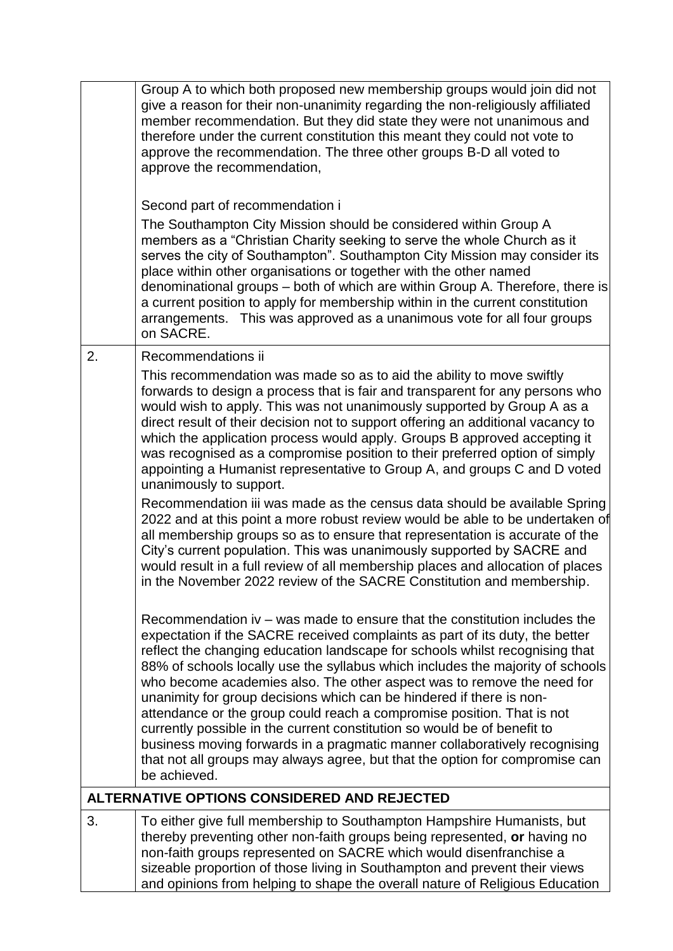|    | Group A to which both proposed new membership groups would join did not<br>give a reason for their non-unanimity regarding the non-religiously affiliated<br>member recommendation. But they did state they were not unanimous and<br>therefore under the current constitution this meant they could not vote to<br>approve the recommendation. The three other groups B-D all voted to<br>approve the recommendation,                                                                                                                                                                                                                                                                                                                                                                                            |
|----|-------------------------------------------------------------------------------------------------------------------------------------------------------------------------------------------------------------------------------------------------------------------------------------------------------------------------------------------------------------------------------------------------------------------------------------------------------------------------------------------------------------------------------------------------------------------------------------------------------------------------------------------------------------------------------------------------------------------------------------------------------------------------------------------------------------------|
|    | Second part of recommendation i<br>The Southampton City Mission should be considered within Group A<br>members as a "Christian Charity seeking to serve the whole Church as it<br>serves the city of Southampton". Southampton City Mission may consider its<br>place within other organisations or together with the other named<br>denominational groups – both of which are within Group A. Therefore, there is<br>a current position to apply for membership within in the current constitution<br>arrangements. This was approved as a unanimous vote for all four groups<br>on SACRE.                                                                                                                                                                                                                       |
| 2. | Recommendations ii                                                                                                                                                                                                                                                                                                                                                                                                                                                                                                                                                                                                                                                                                                                                                                                                |
|    | This recommendation was made so as to aid the ability to move swiftly<br>forwards to design a process that is fair and transparent for any persons who<br>would wish to apply. This was not unanimously supported by Group A as a<br>direct result of their decision not to support offering an additional vacancy to<br>which the application process would apply. Groups B approved accepting it<br>was recognised as a compromise position to their preferred option of simply<br>appointing a Humanist representative to Group A, and groups C and D voted<br>unanimously to support.<br>Recommendation iii was made as the census data should be available Spring                                                                                                                                            |
|    | 2022 and at this point a more robust review would be able to be undertaken of<br>all membership groups so as to ensure that representation is accurate of the<br>City's current population. This was unanimously supported by SACRE and<br>would result in a full review of all membership places and allocation of places<br>in the November 2022 review of the SACRE Constitution and membership.                                                                                                                                                                                                                                                                                                                                                                                                               |
|    | Recommendation iv – was made to ensure that the constitution includes the<br>expectation if the SACRE received complaints as part of its duty, the better<br>reflect the changing education landscape for schools whilst recognising that<br>88% of schools locally use the syllabus which includes the majority of schools<br>who become academies also. The other aspect was to remove the need for<br>unanimity for group decisions which can be hindered if there is non-<br>attendance or the group could reach a compromise position. That is not<br>currently possible in the current constitution so would be of benefit to<br>business moving forwards in a pragmatic manner collaboratively recognising<br>that not all groups may always agree, but that the option for compromise can<br>be achieved. |
|    | ALTERNATIVE OPTIONS CONSIDERED AND REJECTED                                                                                                                                                                                                                                                                                                                                                                                                                                                                                                                                                                                                                                                                                                                                                                       |
| 3. | To either give full membership to Southampton Hampshire Humanists, but<br>thereby preventing other non-faith groups being represented, or having no<br>non-faith groups represented on SACRE which would disenfranchise a<br>sizeable proportion of those living in Southampton and prevent their views<br>and opinions from helping to shape the overall nature of Religious Education                                                                                                                                                                                                                                                                                                                                                                                                                           |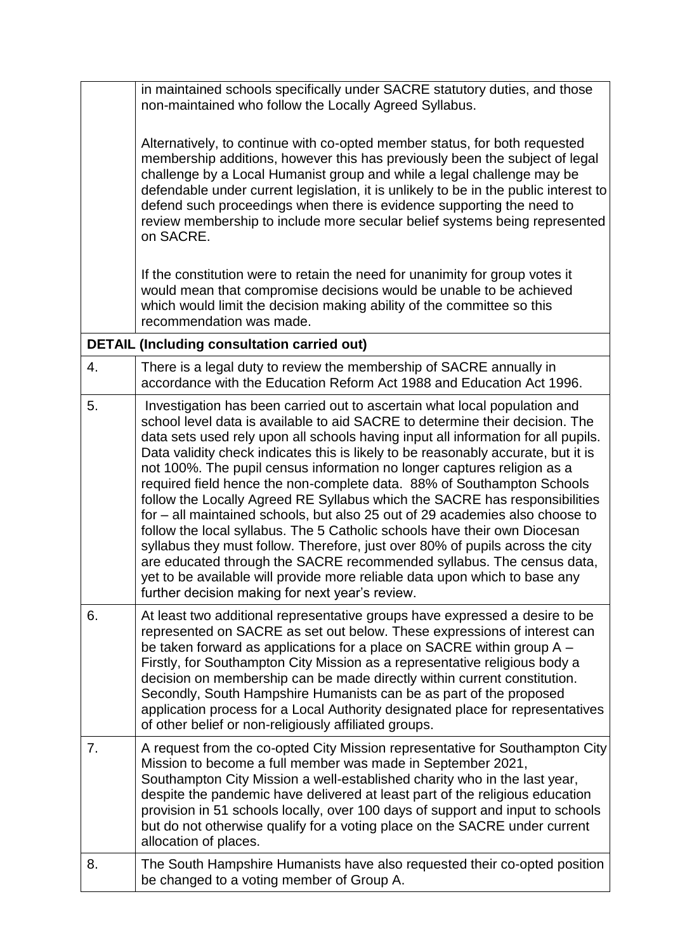|    | in maintained schools specifically under SACRE statutory duties, and those<br>non-maintained who follow the Locally Agreed Syllabus.                                                                                                                                                                                                                                                                                                                                                                                                                                                                                                                                                                                                                                                                                                                                                                                                                                                                                           |
|----|--------------------------------------------------------------------------------------------------------------------------------------------------------------------------------------------------------------------------------------------------------------------------------------------------------------------------------------------------------------------------------------------------------------------------------------------------------------------------------------------------------------------------------------------------------------------------------------------------------------------------------------------------------------------------------------------------------------------------------------------------------------------------------------------------------------------------------------------------------------------------------------------------------------------------------------------------------------------------------------------------------------------------------|
|    | Alternatively, to continue with co-opted member status, for both requested<br>membership additions, however this has previously been the subject of legal<br>challenge by a Local Humanist group and while a legal challenge may be<br>defendable under current legislation, it is unlikely to be in the public interest to<br>defend such proceedings when there is evidence supporting the need to<br>review membership to include more secular belief systems being represented<br>on SACRE.                                                                                                                                                                                                                                                                                                                                                                                                                                                                                                                                |
|    | If the constitution were to retain the need for unanimity for group votes it<br>would mean that compromise decisions would be unable to be achieved<br>which would limit the decision making ability of the committee so this<br>recommendation was made.                                                                                                                                                                                                                                                                                                                                                                                                                                                                                                                                                                                                                                                                                                                                                                      |
|    | <b>DETAIL (Including consultation carried out)</b>                                                                                                                                                                                                                                                                                                                                                                                                                                                                                                                                                                                                                                                                                                                                                                                                                                                                                                                                                                             |
| 4. | There is a legal duty to review the membership of SACRE annually in<br>accordance with the Education Reform Act 1988 and Education Act 1996.                                                                                                                                                                                                                                                                                                                                                                                                                                                                                                                                                                                                                                                                                                                                                                                                                                                                                   |
| 5. | Investigation has been carried out to ascertain what local population and<br>school level data is available to aid SACRE to determine their decision. The<br>data sets used rely upon all schools having input all information for all pupils.<br>Data validity check indicates this is likely to be reasonably accurate, but it is<br>not 100%. The pupil census information no longer captures religion as a<br>required field hence the non-complete data. 88% of Southampton Schools<br>follow the Locally Agreed RE Syllabus which the SACRE has responsibilities<br>for – all maintained schools, but also 25 out of 29 academies also choose to<br>follow the local syllabus. The 5 Catholic schools have their own Diocesan<br>syllabus they must follow. Therefore, just over 80% of pupils across the city<br>are educated through the SACRE recommended syllabus. The census data,<br>yet to be available will provide more reliable data upon which to base any<br>further decision making for next year's review. |
| 6. | At least two additional representative groups have expressed a desire to be<br>represented on SACRE as set out below. These expressions of interest can<br>be taken forward as applications for a place on SACRE within group A -<br>Firstly, for Southampton City Mission as a representative religious body a<br>decision on membership can be made directly within current constitution.<br>Secondly, South Hampshire Humanists can be as part of the proposed<br>application process for a Local Authority designated place for representatives<br>of other belief or non-religiously affiliated groups.                                                                                                                                                                                                                                                                                                                                                                                                                   |
| 7. | A request from the co-opted City Mission representative for Southampton City<br>Mission to become a full member was made in September 2021,<br>Southampton City Mission a well-established charity who in the last year,<br>despite the pandemic have delivered at least part of the religious education<br>provision in 51 schools locally, over 100 days of support and input to schools<br>but do not otherwise qualify for a voting place on the SACRE under current<br>allocation of places.                                                                                                                                                                                                                                                                                                                                                                                                                                                                                                                              |
| 8. | The South Hampshire Humanists have also requested their co-opted position<br>be changed to a voting member of Group A.                                                                                                                                                                                                                                                                                                                                                                                                                                                                                                                                                                                                                                                                                                                                                                                                                                                                                                         |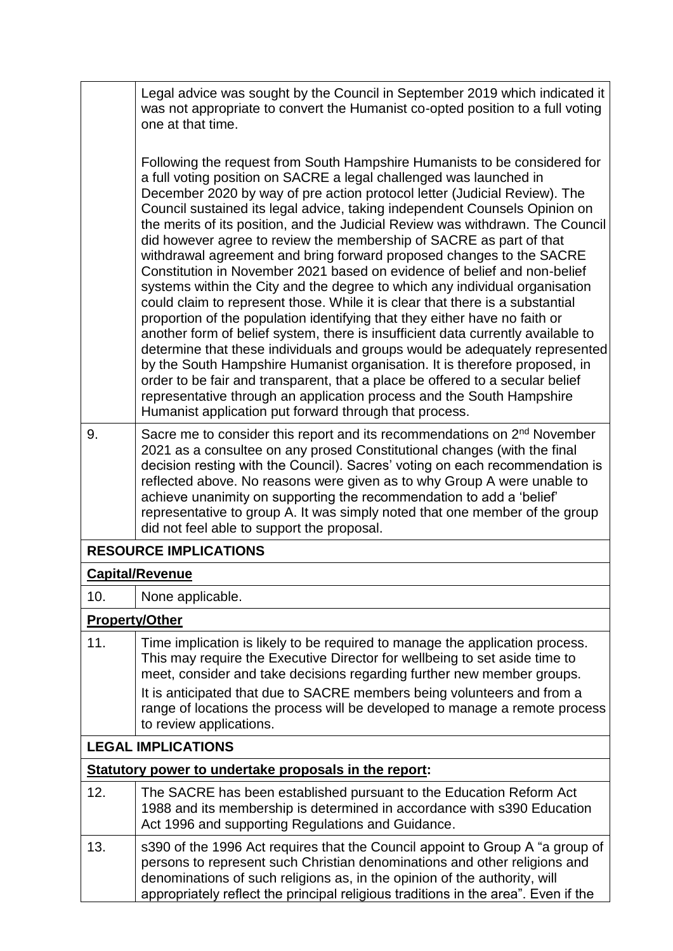|                                                       | Legal advice was sought by the Council in September 2019 which indicated it<br>was not appropriate to convert the Humanist co-opted position to a full voting<br>one at that time.                                                                                                                                                                                                                                                                                                                                                                                                                                                                                                                                                                                                                                                                                                                                                                                                                                                                                                                                                                                                                                                                                                                                                         |  |  |  |
|-------------------------------------------------------|--------------------------------------------------------------------------------------------------------------------------------------------------------------------------------------------------------------------------------------------------------------------------------------------------------------------------------------------------------------------------------------------------------------------------------------------------------------------------------------------------------------------------------------------------------------------------------------------------------------------------------------------------------------------------------------------------------------------------------------------------------------------------------------------------------------------------------------------------------------------------------------------------------------------------------------------------------------------------------------------------------------------------------------------------------------------------------------------------------------------------------------------------------------------------------------------------------------------------------------------------------------------------------------------------------------------------------------------|--|--|--|
|                                                       | Following the request from South Hampshire Humanists to be considered for<br>a full voting position on SACRE a legal challenged was launched in<br>December 2020 by way of pre action protocol letter (Judicial Review). The<br>Council sustained its legal advice, taking independent Counsels Opinion on<br>the merits of its position, and the Judicial Review was withdrawn. The Council<br>did however agree to review the membership of SACRE as part of that<br>withdrawal agreement and bring forward proposed changes to the SACRE<br>Constitution in November 2021 based on evidence of belief and non-belief<br>systems within the City and the degree to which any individual organisation<br>could claim to represent those. While it is clear that there is a substantial<br>proportion of the population identifying that they either have no faith or<br>another form of belief system, there is insufficient data currently available to<br>determine that these individuals and groups would be adequately represented<br>by the South Hampshire Humanist organisation. It is therefore proposed, in<br>order to be fair and transparent, that a place be offered to a secular belief<br>representative through an application process and the South Hampshire<br>Humanist application put forward through that process. |  |  |  |
| 9.                                                    | Sacre me to consider this report and its recommendations on 2 <sup>nd</sup> November<br>2021 as a consultee on any prosed Constitutional changes (with the final<br>decision resting with the Council). Sacres' voting on each recommendation is<br>reflected above. No reasons were given as to why Group A were unable to<br>achieve unanimity on supporting the recommendation to add a 'belief'<br>representative to group A. It was simply noted that one member of the group<br>did not feel able to support the proposal.                                                                                                                                                                                                                                                                                                                                                                                                                                                                                                                                                                                                                                                                                                                                                                                                           |  |  |  |
|                                                       | <b>RESOURCE IMPLICATIONS</b>                                                                                                                                                                                                                                                                                                                                                                                                                                                                                                                                                                                                                                                                                                                                                                                                                                                                                                                                                                                                                                                                                                                                                                                                                                                                                                               |  |  |  |
|                                                       | <b>Capital/Revenue</b>                                                                                                                                                                                                                                                                                                                                                                                                                                                                                                                                                                                                                                                                                                                                                                                                                                                                                                                                                                                                                                                                                                                                                                                                                                                                                                                     |  |  |  |
| 10.                                                   | None applicable.                                                                                                                                                                                                                                                                                                                                                                                                                                                                                                                                                                                                                                                                                                                                                                                                                                                                                                                                                                                                                                                                                                                                                                                                                                                                                                                           |  |  |  |
|                                                       | <b>Property/Other</b>                                                                                                                                                                                                                                                                                                                                                                                                                                                                                                                                                                                                                                                                                                                                                                                                                                                                                                                                                                                                                                                                                                                                                                                                                                                                                                                      |  |  |  |
| 11.                                                   | Time implication is likely to be required to manage the application process.<br>This may require the Executive Director for wellbeing to set aside time to<br>meet, consider and take decisions regarding further new member groups.<br>It is anticipated that due to SACRE members being volunteers and from a                                                                                                                                                                                                                                                                                                                                                                                                                                                                                                                                                                                                                                                                                                                                                                                                                                                                                                                                                                                                                            |  |  |  |
|                                                       | range of locations the process will be developed to manage a remote process<br>to review applications.                                                                                                                                                                                                                                                                                                                                                                                                                                                                                                                                                                                                                                                                                                                                                                                                                                                                                                                                                                                                                                                                                                                                                                                                                                     |  |  |  |
|                                                       | <b>LEGAL IMPLICATIONS</b>                                                                                                                                                                                                                                                                                                                                                                                                                                                                                                                                                                                                                                                                                                                                                                                                                                                                                                                                                                                                                                                                                                                                                                                                                                                                                                                  |  |  |  |
| Statutory power to undertake proposals in the report: |                                                                                                                                                                                                                                                                                                                                                                                                                                                                                                                                                                                                                                                                                                                                                                                                                                                                                                                                                                                                                                                                                                                                                                                                                                                                                                                                            |  |  |  |
| 12.                                                   | The SACRE has been established pursuant to the Education Reform Act<br>1988 and its membership is determined in accordance with s390 Education<br>Act 1996 and supporting Regulations and Guidance.                                                                                                                                                                                                                                                                                                                                                                                                                                                                                                                                                                                                                                                                                                                                                                                                                                                                                                                                                                                                                                                                                                                                        |  |  |  |
| 13.                                                   | s390 of the 1996 Act requires that the Council appoint to Group A "a group of<br>persons to represent such Christian denominations and other religions and<br>denominations of such religions as, in the opinion of the authority, will<br>appropriately reflect the principal religious traditions in the area". Even if the                                                                                                                                                                                                                                                                                                                                                                                                                                                                                                                                                                                                                                                                                                                                                                                                                                                                                                                                                                                                              |  |  |  |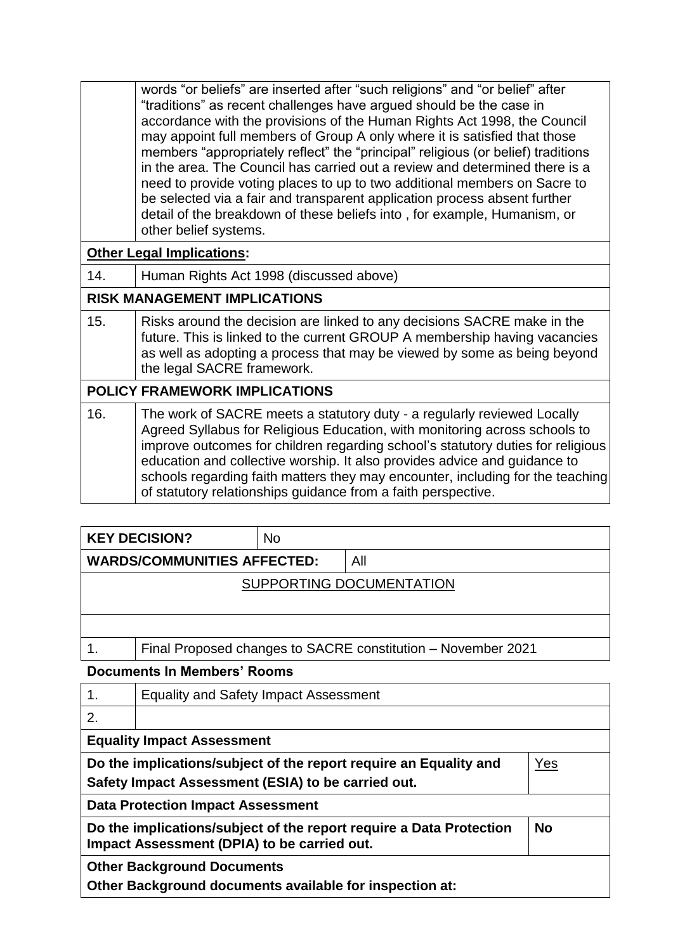words "or beliefs" are inserted after "such religions" and "or belief" after "traditions" as recent challenges have argued should be the case in accordance with the provisions of the Human Rights Act 1998, the Council may appoint full members of Group A only where it is satisfied that those members "appropriately reflect" the "principal" religious (or belief) traditions in the area. The Council has carried out a review and determined there is a need to provide voting places to up to two additional members on Sacre to be selected via a fair and transparent application process absent further detail of the breakdown of these beliefs into , for example, Humanism, or other belief systems.

## **Other Legal Implications:**

14. Human Rights Act 1998 (discussed above)

## **RISK MANAGEMENT IMPLICATIONS**

15. Risks around the decision are linked to any decisions SACRE make in the future. This is linked to the current GROUP A membership having vacancies as well as adopting a process that may be viewed by some as being beyond the legal SACRE framework.

#### **POLICY FRAMEWORK IMPLICATIONS** 16. The work of SACRE meets a statutory duty - a regularly reviewed Locally Agreed Syllabus for Religious Education, with monitoring across schools to improve outcomes for children regarding school's statutory duties for religious education and collective worship. It also provides advice and guidance to schools regarding faith matters they may encounter, including for the teaching of statutory relationships guidance from a faith perspective.

| <b>KEY DECISION?</b>               | <b>No</b> |                          |
|------------------------------------|-----------|--------------------------|
| <b>WARDS/COMMUNITIES AFFECTED:</b> |           | All                      |
|                                    |           | SUPPORTING DOCUMENTATION |
|                                    |           |                          |

## 1. Final Proposed changes to SACRE constitution – November 2021

#### **Documents In Members' Rooms**

| $\mathbf 1$ .                                                                                                                   | <b>Equality and Safety Impact Assessment</b> |  |  |
|---------------------------------------------------------------------------------------------------------------------------------|----------------------------------------------|--|--|
| 2.                                                                                                                              |                                              |  |  |
| <b>Equality Impact Assessment</b>                                                                                               |                                              |  |  |
| Do the implications/subject of the report require an Equality and<br>Yes<br>Safety Impact Assessment (ESIA) to be carried out.  |                                              |  |  |
| <b>Data Protection Impact Assessment</b>                                                                                        |                                              |  |  |
| Do the implications/subject of the report require a Data Protection<br><b>No</b><br>Impact Assessment (DPIA) to be carried out. |                                              |  |  |
| <b>Other Background Documents</b><br>Other Background documents available for inspection at:                                    |                                              |  |  |